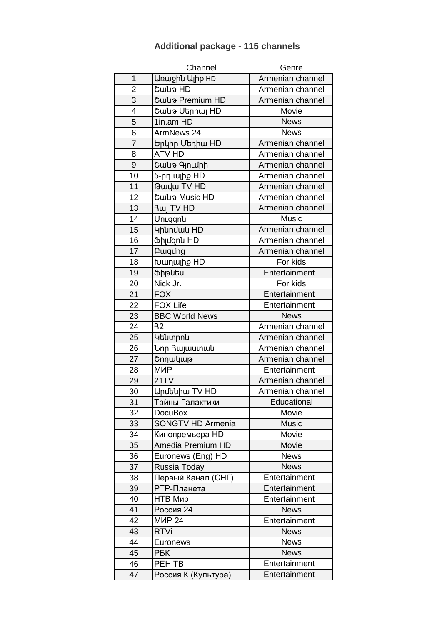| 1<br>Unwohu Ulhp HD<br>Armenian channel<br>$\overline{2}$<br>Cwup HD<br>Armenian channel<br>3<br>Cwup Premium HD<br>Armenian channel<br>4<br>Cաup Սերիալ HD<br>Movie<br>5<br>1in.am HD<br><b>News</b><br>6<br>ArmNews 24<br><b>News</b><br>$\overline{7}$<br>Armenian channel<br>Երկիր Մեդիա HD<br>8<br><b>ATV HD</b><br>Armenian channel<br>9<br>Cwup qunLunh<br>Armenian channel<br>10<br>5-րդ ալիք HD<br>Armenian channel<br>11<br><b>Gwyw TV HD</b><br>Armenian channel<br>12<br>Cwulp Music HD<br>Armenian channel<br>13<br><b>Ruj TV HD</b><br>Armenian channel<br>14<br>UnLqqnu<br><b>Music</b><br>15<br><b>4hundwu HD</b><br>Armenian channel<br>16<br>Ֆիլմզոն HD<br>Armenian channel<br>17<br>Armenian channel<br>Pwqung<br>18<br>For kids<br>խաղալիք HD<br>19<br><b><i>Shputu</i></b><br>Entertainment<br>20<br>Nick Jr.<br>For kids<br>21<br>Entertainment<br><b>FOX</b><br>22<br><b>FOX Life</b><br>Entertainment<br>23<br><b>BBC World News</b><br><b>News</b><br>24<br>32<br>Armenian channel<br>25<br>Armenian channel<br>Կենտրոն<br>26<br>Նոր Յայաստան<br>Armenian channel<br>27<br>Armenian channel<br>Շողակաթ<br>28<br><b>M<sub>MP</sub></b><br>Entertainment<br>29<br>21TV<br>Armenian channel<br>30<br><b>Unutuhu TV HD</b><br>Armenian channel<br>31<br>Тайны Галактики<br>Educational<br>32<br>Movie<br><b>DocuBox</b><br><b>Music</b><br>33<br><b>SONGTV HD Armenia</b><br>Movie<br>34<br>Кинопремьера HD<br>35<br>Amedia Premium HD<br>Movie<br>36<br><b>News</b><br>Euronews (Eng) HD<br>37<br><b>News</b><br>Russia Today<br>Первый Канал (СНГ)<br>Entertainment<br>38<br>39<br>РТР-Планета<br>Entertainment<br>40<br>НТВ Мир<br>Entertainment<br>41<br>Россия 24<br><b>News</b><br>42<br><b>MUP 24</b><br>Entertainment<br>43<br><b>RTVi</b><br><b>News</b><br>44<br><b>News</b><br>Euronews<br>45<br><b>PEK</b><br><b>News</b><br>46<br>PEH TB<br>Entertainment<br>Россия К (Культура)<br>47<br>Entertainment | Channel | Genre |
|-------------------------------------------------------------------------------------------------------------------------------------------------------------------------------------------------------------------------------------------------------------------------------------------------------------------------------------------------------------------------------------------------------------------------------------------------------------------------------------------------------------------------------------------------------------------------------------------------------------------------------------------------------------------------------------------------------------------------------------------------------------------------------------------------------------------------------------------------------------------------------------------------------------------------------------------------------------------------------------------------------------------------------------------------------------------------------------------------------------------------------------------------------------------------------------------------------------------------------------------------------------------------------------------------------------------------------------------------------------------------------------------------------------------------------------------------------------------------------------------------------------------------------------------------------------------------------------------------------------------------------------------------------------------------------------------------------------------------------------------------------------------------------------------------------------------------------------------------------------------------------------------------------------------------------------------|---------|-------|
|                                                                                                                                                                                                                                                                                                                                                                                                                                                                                                                                                                                                                                                                                                                                                                                                                                                                                                                                                                                                                                                                                                                                                                                                                                                                                                                                                                                                                                                                                                                                                                                                                                                                                                                                                                                                                                                                                                                                           |         |       |
|                                                                                                                                                                                                                                                                                                                                                                                                                                                                                                                                                                                                                                                                                                                                                                                                                                                                                                                                                                                                                                                                                                                                                                                                                                                                                                                                                                                                                                                                                                                                                                                                                                                                                                                                                                                                                                                                                                                                           |         |       |
|                                                                                                                                                                                                                                                                                                                                                                                                                                                                                                                                                                                                                                                                                                                                                                                                                                                                                                                                                                                                                                                                                                                                                                                                                                                                                                                                                                                                                                                                                                                                                                                                                                                                                                                                                                                                                                                                                                                                           |         |       |
|                                                                                                                                                                                                                                                                                                                                                                                                                                                                                                                                                                                                                                                                                                                                                                                                                                                                                                                                                                                                                                                                                                                                                                                                                                                                                                                                                                                                                                                                                                                                                                                                                                                                                                                                                                                                                                                                                                                                           |         |       |
|                                                                                                                                                                                                                                                                                                                                                                                                                                                                                                                                                                                                                                                                                                                                                                                                                                                                                                                                                                                                                                                                                                                                                                                                                                                                                                                                                                                                                                                                                                                                                                                                                                                                                                                                                                                                                                                                                                                                           |         |       |
|                                                                                                                                                                                                                                                                                                                                                                                                                                                                                                                                                                                                                                                                                                                                                                                                                                                                                                                                                                                                                                                                                                                                                                                                                                                                                                                                                                                                                                                                                                                                                                                                                                                                                                                                                                                                                                                                                                                                           |         |       |
|                                                                                                                                                                                                                                                                                                                                                                                                                                                                                                                                                                                                                                                                                                                                                                                                                                                                                                                                                                                                                                                                                                                                                                                                                                                                                                                                                                                                                                                                                                                                                                                                                                                                                                                                                                                                                                                                                                                                           |         |       |
|                                                                                                                                                                                                                                                                                                                                                                                                                                                                                                                                                                                                                                                                                                                                                                                                                                                                                                                                                                                                                                                                                                                                                                                                                                                                                                                                                                                                                                                                                                                                                                                                                                                                                                                                                                                                                                                                                                                                           |         |       |
|                                                                                                                                                                                                                                                                                                                                                                                                                                                                                                                                                                                                                                                                                                                                                                                                                                                                                                                                                                                                                                                                                                                                                                                                                                                                                                                                                                                                                                                                                                                                                                                                                                                                                                                                                                                                                                                                                                                                           |         |       |
|                                                                                                                                                                                                                                                                                                                                                                                                                                                                                                                                                                                                                                                                                                                                                                                                                                                                                                                                                                                                                                                                                                                                                                                                                                                                                                                                                                                                                                                                                                                                                                                                                                                                                                                                                                                                                                                                                                                                           |         |       |
|                                                                                                                                                                                                                                                                                                                                                                                                                                                                                                                                                                                                                                                                                                                                                                                                                                                                                                                                                                                                                                                                                                                                                                                                                                                                                                                                                                                                                                                                                                                                                                                                                                                                                                                                                                                                                                                                                                                                           |         |       |
|                                                                                                                                                                                                                                                                                                                                                                                                                                                                                                                                                                                                                                                                                                                                                                                                                                                                                                                                                                                                                                                                                                                                                                                                                                                                                                                                                                                                                                                                                                                                                                                                                                                                                                                                                                                                                                                                                                                                           |         |       |
|                                                                                                                                                                                                                                                                                                                                                                                                                                                                                                                                                                                                                                                                                                                                                                                                                                                                                                                                                                                                                                                                                                                                                                                                                                                                                                                                                                                                                                                                                                                                                                                                                                                                                                                                                                                                                                                                                                                                           |         |       |
|                                                                                                                                                                                                                                                                                                                                                                                                                                                                                                                                                                                                                                                                                                                                                                                                                                                                                                                                                                                                                                                                                                                                                                                                                                                                                                                                                                                                                                                                                                                                                                                                                                                                                                                                                                                                                                                                                                                                           |         |       |
|                                                                                                                                                                                                                                                                                                                                                                                                                                                                                                                                                                                                                                                                                                                                                                                                                                                                                                                                                                                                                                                                                                                                                                                                                                                                                                                                                                                                                                                                                                                                                                                                                                                                                                                                                                                                                                                                                                                                           |         |       |
|                                                                                                                                                                                                                                                                                                                                                                                                                                                                                                                                                                                                                                                                                                                                                                                                                                                                                                                                                                                                                                                                                                                                                                                                                                                                                                                                                                                                                                                                                                                                                                                                                                                                                                                                                                                                                                                                                                                                           |         |       |
|                                                                                                                                                                                                                                                                                                                                                                                                                                                                                                                                                                                                                                                                                                                                                                                                                                                                                                                                                                                                                                                                                                                                                                                                                                                                                                                                                                                                                                                                                                                                                                                                                                                                                                                                                                                                                                                                                                                                           |         |       |
|                                                                                                                                                                                                                                                                                                                                                                                                                                                                                                                                                                                                                                                                                                                                                                                                                                                                                                                                                                                                                                                                                                                                                                                                                                                                                                                                                                                                                                                                                                                                                                                                                                                                                                                                                                                                                                                                                                                                           |         |       |
|                                                                                                                                                                                                                                                                                                                                                                                                                                                                                                                                                                                                                                                                                                                                                                                                                                                                                                                                                                                                                                                                                                                                                                                                                                                                                                                                                                                                                                                                                                                                                                                                                                                                                                                                                                                                                                                                                                                                           |         |       |
|                                                                                                                                                                                                                                                                                                                                                                                                                                                                                                                                                                                                                                                                                                                                                                                                                                                                                                                                                                                                                                                                                                                                                                                                                                                                                                                                                                                                                                                                                                                                                                                                                                                                                                                                                                                                                                                                                                                                           |         |       |
|                                                                                                                                                                                                                                                                                                                                                                                                                                                                                                                                                                                                                                                                                                                                                                                                                                                                                                                                                                                                                                                                                                                                                                                                                                                                                                                                                                                                                                                                                                                                                                                                                                                                                                                                                                                                                                                                                                                                           |         |       |
|                                                                                                                                                                                                                                                                                                                                                                                                                                                                                                                                                                                                                                                                                                                                                                                                                                                                                                                                                                                                                                                                                                                                                                                                                                                                                                                                                                                                                                                                                                                                                                                                                                                                                                                                                                                                                                                                                                                                           |         |       |
|                                                                                                                                                                                                                                                                                                                                                                                                                                                                                                                                                                                                                                                                                                                                                                                                                                                                                                                                                                                                                                                                                                                                                                                                                                                                                                                                                                                                                                                                                                                                                                                                                                                                                                                                                                                                                                                                                                                                           |         |       |
|                                                                                                                                                                                                                                                                                                                                                                                                                                                                                                                                                                                                                                                                                                                                                                                                                                                                                                                                                                                                                                                                                                                                                                                                                                                                                                                                                                                                                                                                                                                                                                                                                                                                                                                                                                                                                                                                                                                                           |         |       |
|                                                                                                                                                                                                                                                                                                                                                                                                                                                                                                                                                                                                                                                                                                                                                                                                                                                                                                                                                                                                                                                                                                                                                                                                                                                                                                                                                                                                                                                                                                                                                                                                                                                                                                                                                                                                                                                                                                                                           |         |       |
|                                                                                                                                                                                                                                                                                                                                                                                                                                                                                                                                                                                                                                                                                                                                                                                                                                                                                                                                                                                                                                                                                                                                                                                                                                                                                                                                                                                                                                                                                                                                                                                                                                                                                                                                                                                                                                                                                                                                           |         |       |
|                                                                                                                                                                                                                                                                                                                                                                                                                                                                                                                                                                                                                                                                                                                                                                                                                                                                                                                                                                                                                                                                                                                                                                                                                                                                                                                                                                                                                                                                                                                                                                                                                                                                                                                                                                                                                                                                                                                                           |         |       |
|                                                                                                                                                                                                                                                                                                                                                                                                                                                                                                                                                                                                                                                                                                                                                                                                                                                                                                                                                                                                                                                                                                                                                                                                                                                                                                                                                                                                                                                                                                                                                                                                                                                                                                                                                                                                                                                                                                                                           |         |       |
|                                                                                                                                                                                                                                                                                                                                                                                                                                                                                                                                                                                                                                                                                                                                                                                                                                                                                                                                                                                                                                                                                                                                                                                                                                                                                                                                                                                                                                                                                                                                                                                                                                                                                                                                                                                                                                                                                                                                           |         |       |
|                                                                                                                                                                                                                                                                                                                                                                                                                                                                                                                                                                                                                                                                                                                                                                                                                                                                                                                                                                                                                                                                                                                                                                                                                                                                                                                                                                                                                                                                                                                                                                                                                                                                                                                                                                                                                                                                                                                                           |         |       |
|                                                                                                                                                                                                                                                                                                                                                                                                                                                                                                                                                                                                                                                                                                                                                                                                                                                                                                                                                                                                                                                                                                                                                                                                                                                                                                                                                                                                                                                                                                                                                                                                                                                                                                                                                                                                                                                                                                                                           |         |       |
|                                                                                                                                                                                                                                                                                                                                                                                                                                                                                                                                                                                                                                                                                                                                                                                                                                                                                                                                                                                                                                                                                                                                                                                                                                                                                                                                                                                                                                                                                                                                                                                                                                                                                                                                                                                                                                                                                                                                           |         |       |
|                                                                                                                                                                                                                                                                                                                                                                                                                                                                                                                                                                                                                                                                                                                                                                                                                                                                                                                                                                                                                                                                                                                                                                                                                                                                                                                                                                                                                                                                                                                                                                                                                                                                                                                                                                                                                                                                                                                                           |         |       |
|                                                                                                                                                                                                                                                                                                                                                                                                                                                                                                                                                                                                                                                                                                                                                                                                                                                                                                                                                                                                                                                                                                                                                                                                                                                                                                                                                                                                                                                                                                                                                                                                                                                                                                                                                                                                                                                                                                                                           |         |       |
|                                                                                                                                                                                                                                                                                                                                                                                                                                                                                                                                                                                                                                                                                                                                                                                                                                                                                                                                                                                                                                                                                                                                                                                                                                                                                                                                                                                                                                                                                                                                                                                                                                                                                                                                                                                                                                                                                                                                           |         |       |
|                                                                                                                                                                                                                                                                                                                                                                                                                                                                                                                                                                                                                                                                                                                                                                                                                                                                                                                                                                                                                                                                                                                                                                                                                                                                                                                                                                                                                                                                                                                                                                                                                                                                                                                                                                                                                                                                                                                                           |         |       |
|                                                                                                                                                                                                                                                                                                                                                                                                                                                                                                                                                                                                                                                                                                                                                                                                                                                                                                                                                                                                                                                                                                                                                                                                                                                                                                                                                                                                                                                                                                                                                                                                                                                                                                                                                                                                                                                                                                                                           |         |       |
|                                                                                                                                                                                                                                                                                                                                                                                                                                                                                                                                                                                                                                                                                                                                                                                                                                                                                                                                                                                                                                                                                                                                                                                                                                                                                                                                                                                                                                                                                                                                                                                                                                                                                                                                                                                                                                                                                                                                           |         |       |
|                                                                                                                                                                                                                                                                                                                                                                                                                                                                                                                                                                                                                                                                                                                                                                                                                                                                                                                                                                                                                                                                                                                                                                                                                                                                                                                                                                                                                                                                                                                                                                                                                                                                                                                                                                                                                                                                                                                                           |         |       |
|                                                                                                                                                                                                                                                                                                                                                                                                                                                                                                                                                                                                                                                                                                                                                                                                                                                                                                                                                                                                                                                                                                                                                                                                                                                                                                                                                                                                                                                                                                                                                                                                                                                                                                                                                                                                                                                                                                                                           |         |       |
|                                                                                                                                                                                                                                                                                                                                                                                                                                                                                                                                                                                                                                                                                                                                                                                                                                                                                                                                                                                                                                                                                                                                                                                                                                                                                                                                                                                                                                                                                                                                                                                                                                                                                                                                                                                                                                                                                                                                           |         |       |
|                                                                                                                                                                                                                                                                                                                                                                                                                                                                                                                                                                                                                                                                                                                                                                                                                                                                                                                                                                                                                                                                                                                                                                                                                                                                                                                                                                                                                                                                                                                                                                                                                                                                                                                                                                                                                                                                                                                                           |         |       |
|                                                                                                                                                                                                                                                                                                                                                                                                                                                                                                                                                                                                                                                                                                                                                                                                                                                                                                                                                                                                                                                                                                                                                                                                                                                                                                                                                                                                                                                                                                                                                                                                                                                                                                                                                                                                                                                                                                                                           |         |       |
|                                                                                                                                                                                                                                                                                                                                                                                                                                                                                                                                                                                                                                                                                                                                                                                                                                                                                                                                                                                                                                                                                                                                                                                                                                                                                                                                                                                                                                                                                                                                                                                                                                                                                                                                                                                                                                                                                                                                           |         |       |
|                                                                                                                                                                                                                                                                                                                                                                                                                                                                                                                                                                                                                                                                                                                                                                                                                                                                                                                                                                                                                                                                                                                                                                                                                                                                                                                                                                                                                                                                                                                                                                                                                                                                                                                                                                                                                                                                                                                                           |         |       |
|                                                                                                                                                                                                                                                                                                                                                                                                                                                                                                                                                                                                                                                                                                                                                                                                                                                                                                                                                                                                                                                                                                                                                                                                                                                                                                                                                                                                                                                                                                                                                                                                                                                                                                                                                                                                                                                                                                                                           |         |       |
|                                                                                                                                                                                                                                                                                                                                                                                                                                                                                                                                                                                                                                                                                                                                                                                                                                                                                                                                                                                                                                                                                                                                                                                                                                                                                                                                                                                                                                                                                                                                                                                                                                                                                                                                                                                                                                                                                                                                           |         |       |

## **Additional package - 115 channels**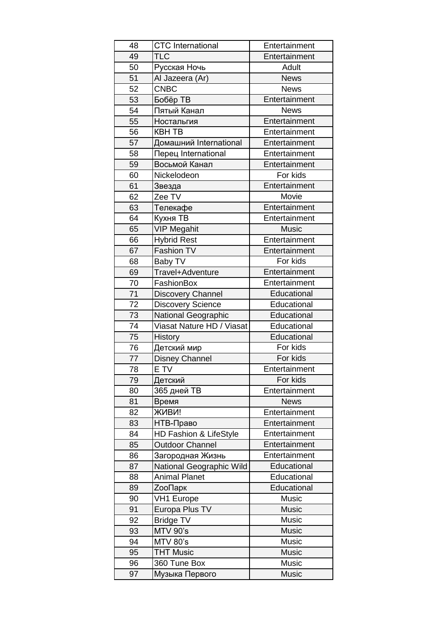| 48 | <b>CTC</b> International   | Entertainment |
|----|----------------------------|---------------|
| 49 | <b>TLC</b>                 | Entertainment |
| 50 | Русская Ночь               | Adult         |
| 51 | Al Jazeera (Ar)            | <b>News</b>   |
| 52 | <b>CNBC</b>                | <b>News</b>   |
| 53 | Бобёр ТВ                   | Entertainment |
| 54 | Пятый Канал                | <b>News</b>   |
| 55 | Ностальгия                 | Entertainment |
| 56 | <b>KBH TB</b>              | Entertainment |
| 57 | Домашний International     | Entertainment |
| 58 | Перец International        | Entertainment |
| 59 | Восьмой Канал              | Entertainment |
| 60 | Nickelodeon                | For kids      |
| 61 | Звезда                     | Entertainment |
| 62 | Zee TV                     | Movie         |
| 63 | Телекафе                   | Entertainment |
| 64 | Кухня ТВ                   | Entertainment |
| 65 | <b>VIP Megahit</b>         | <b>Music</b>  |
| 66 | <b>Hybrid Rest</b>         | Entertainment |
| 67 | Fashion TV                 | Entertainment |
| 68 | Baby TV                    | For kids      |
| 69 | Travel+Adventure           | Entertainment |
| 70 | FashionBox                 | Entertainment |
| 71 | <b>Discovery Channel</b>   | Educational   |
| 72 | <b>Discovery Science</b>   | Educational   |
| 73 | <b>National Geographic</b> | Educational   |
| 74 | Viasat Nature HD / Viasat  | Educational   |
| 75 | History                    | Educational   |
| 76 | Детский мир                | For kids      |
| 77 | <b>Disney Channel</b>      | For kids      |
| 78 | E TV                       | Entertainment |
| 79 | Детский                    | For kids      |
| 80 | 365 дней ТВ                | Entertainment |
| 81 | Время                      | <b>News</b>   |
| 82 | ЖИВИ!                      | Entertainment |
| 83 | НТВ-Право                  | Entertainment |
| 84 | HD Fashion & LifeStyle     | Entertainment |
| 85 | <b>Outdoor Channel</b>     | Entertainment |
| 86 | Загородная Жизнь           | Entertainment |
| 87 | National Geographic Wild   | Educational   |
| 88 | <b>Animal Planet</b>       | Educational   |
| 89 | <b>ZooПарк</b>             | Educational   |
| 90 | <b>VH1 Europe</b>          | Music         |
| 91 | Europa Plus TV             | <b>Music</b>  |
| 92 | <b>Bridge TV</b>           | <b>Music</b>  |
| 93 | <b>MTV 90's</b>            | <b>Music</b>  |
| 94 | <b>MTV 80's</b>            | <b>Music</b>  |
| 95 | <b>THT Music</b>           | <b>Music</b>  |
| 96 | 360 Tune Box               | <b>Music</b>  |
| 97 | Музыка Первого             | Music         |